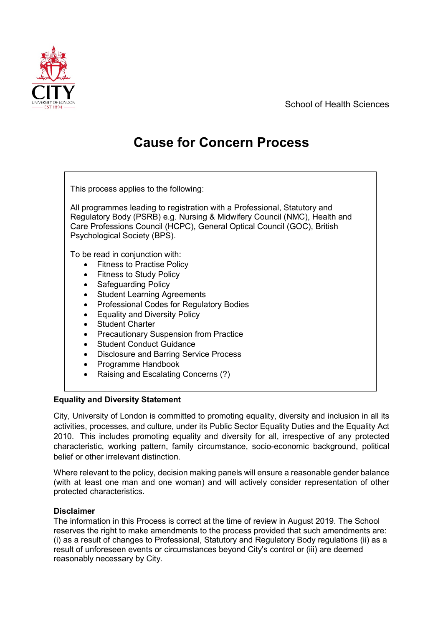School of Health Sciences



# **Cause for Concern Process**

| This process applies to the following:                                                                                                                                                                                                                                                                                                                                                                                                                                                                                    |
|---------------------------------------------------------------------------------------------------------------------------------------------------------------------------------------------------------------------------------------------------------------------------------------------------------------------------------------------------------------------------------------------------------------------------------------------------------------------------------------------------------------------------|
| All programmes leading to registration with a Professional, Statutory and<br>Regulatory Body (PSRB) e.g. Nursing & Midwifery Council (NMC), Health and<br>Care Professions Council (HCPC), General Optical Council (GOC), British<br>Psychological Society (BPS).                                                                                                                                                                                                                                                         |
| To be read in conjunction with:<br>• Fitness to Practise Policy<br><b>Fitness to Study Policy</b><br>$\bullet$<br><b>Safeguarding Policy</b><br>$\bullet$<br><b>Student Learning Agreements</b><br>$\bullet$<br>Professional Codes for Regulatory Bodies<br>$\bullet$<br><b>Equality and Diversity Policy</b><br>$\bullet$<br><b>Student Charter</b><br>$\bullet$<br><b>Precautionary Suspension from Practice</b><br><b>Student Conduct Guidance</b><br>$\bullet$<br>Disclosure and Barring Service Process<br>$\bullet$ |
| Programme Handbook                                                                                                                                                                                                                                                                                                                                                                                                                                                                                                        |

• Raising and Escalating Concerns (?)

## **Equality and Diversity Statement**

City, University of London is committed to promoting equality, diversity and inclusion in all its activities, processes, and culture, under its Public Sector Equality Duties and the Equality Act 2010. This includes promoting equality and diversity for all, irrespective of any protected characteristic, working pattern, family circumstance, socio-economic background, political belief or other irrelevant distinction.

Where relevant to the policy, decision making panels will ensure a reasonable gender balance (with at least one man and one woman) and will actively consider representation of other protected characteristics.

## **Disclaimer**

The information in this Process is correct at the time of review in August 2019. The School reserves the right to make amendments to the process provided that such amendments are: (i) as a result of changes to Professional, Statutory and Regulatory Body regulations (ii) as a result of unforeseen events or circumstances beyond City's control or (iii) are deemed reasonably necessary by City.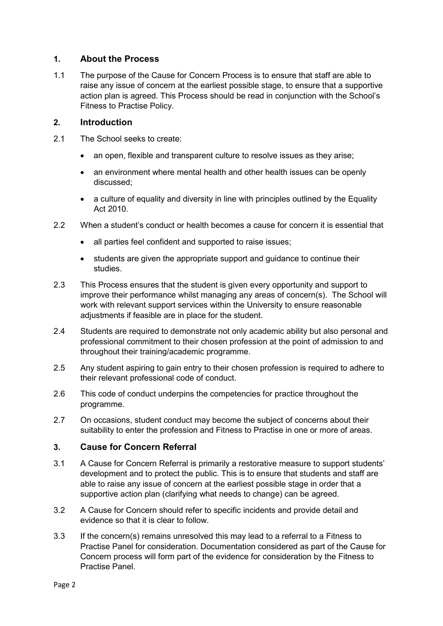### **1. About the Process**

1.1 The purpose of the Cause for Concern Process is to ensure that staff are able to raise any issue of concern at the earliest possible stage, to ensure that a supportive action plan is agreed. This Process should be read in conjunction with the School's Fitness to Practise Policy.

#### **2. Introduction**

- 2.1 The School seeks to create:
	- an open, flexible and transparent culture to resolve issues as they arise;
	- an environment where mental health and other health issues can be openly discussed;
	- a culture of equality and diversity in line with principles outlined by the Equality Act 2010.
- 2.2 When a student's conduct or health becomes a cause for concern it is essential that
	- all parties feel confident and supported to raise issues:
	- students are given the appropriate support and guidance to continue their studies.
- 2.3 This Process ensures that the student is given every opportunity and support to improve their performance whilst managing any areas of concern(s). The School will work with relevant support services within the University to ensure reasonable adjustments if feasible are in place for the student.
- 2.4 Students are required to demonstrate not only academic ability but also personal and professional commitment to their chosen profession at the point of admission to and throughout their training/academic programme.
- 2.5 Any student aspiring to gain entry to their chosen profession is required to adhere to their relevant professional code of conduct.
- 2.6 This code of conduct underpins the competencies for practice throughout the programme.
- 2.7 On occasions, student conduct may become the subject of concerns about their suitability to enter the profession and Fitness to Practise in one or more of areas.

## **3. Cause for Concern Referral**

- 3.1 A Cause for Concern Referral is primarily a restorative measure to support students' development and to protect the public. This is to ensure that students and staff are able to raise any issue of concern at the earliest possible stage in order that a supportive action plan (clarifying what needs to change) can be agreed.
- 3.2 A Cause for Concern should refer to specific incidents and provide detail and evidence so that it is clear to follow.
- 3.3 If the concern(s) remains unresolved this may lead to a referral to a Fitness to Practise Panel for consideration. Documentation considered as part of the Cause for Concern process will form part of the evidence for consideration by the Fitness to Practise Panel.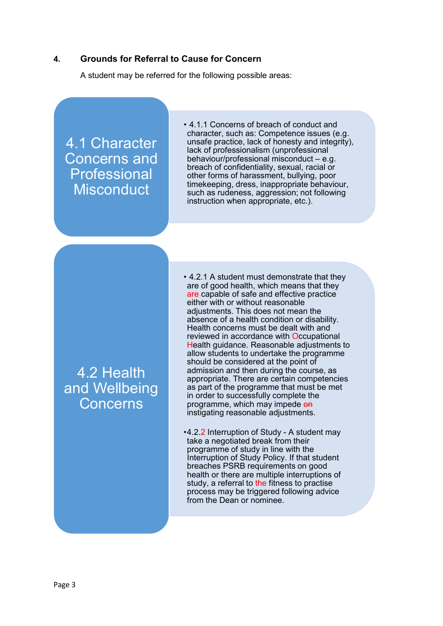#### **4. Grounds for Referral to Cause for Concern**

A student may be referred for the following possible areas:

4.1 Character Concerns and Professional **Misconduct** 

• 4.1.1 Concerns of breach of conduct and character, such as: Competence issues (e.g. unsafe practice, lack of honesty and integrity), lack of professionalism (unprofessional behaviour/professional misconduct  $-$  e.g. breach of confidentiality, sexual, racial or other forms of harassment, bullying, poor timekeeping, dress, inappropriate behaviour, such as rudeness, aggression; not following instruction when appropriate, etc.).

## 4.2 Health and Wellbeing Concerns

• 4.2.1 A student must demonstrate that they are of good health, which means that they are capable of safe and effective practice either with or without reasonable adjustments. This does not mean the absence of a health condition or disability. Health concerns must be dealt with and reviewed in accordance with Occupational Health guidance. Reasonable adjustments to allow students to undertake the programme should be considered at the point of admission and then during the course, as appropriate. There are certain competencies as part of the programme that must be met in order to successfully complete the programme, which may impede on instigating reasonable adjustments.

•4.2.2 Interruption of Study - A student may take a negotiated break from their programme of study in line with the Interruption of Study Policy. If that student breaches PSRB requirements on good health or there are multiple interruptions of study, a referral to the fitness to practise process may be triggered following advice from the Dean or nominee.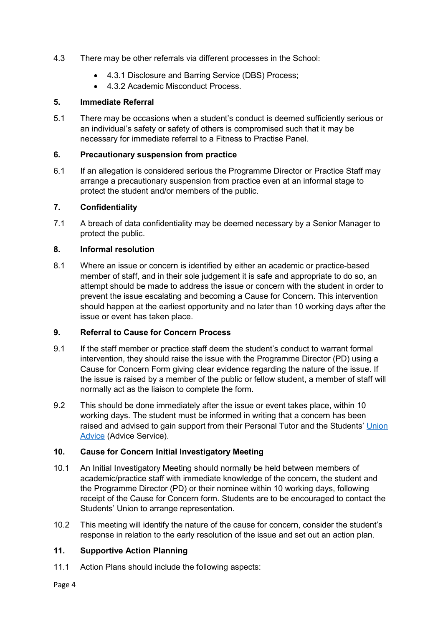- 4.3 There may be other referrals via different processes in the School:
	- 4.3.1 Disclosure and Barring Service (DBS) Process;
	- 4.3.2 Academic Misconduct Process

#### **5. Immediate Referral**

5.1 There may be occasions when a student's conduct is deemed sufficiently serious or an individual's safety or safety of others is compromised such that it may be necessary for immediate referral to a Fitness to Practise Panel.

#### **6. Precautionary suspension from practice**

6.1 If an allegation is considered serious the Programme Director or Practice Staff may arrange a precautionary suspension from practice even at an informal stage to protect the student and/or members of the public.

#### **7. Confidentiality**

7.1 A breach of data confidentiality may be deemed necessary by a Senior Manager to protect the public.

#### **8. Informal resolution**

8.1 Where an issue or concern is identified by either an academic or practice-based member of staff, and in their sole judgement it is safe and appropriate to do so, an attempt should be made to address the issue or concern with the student in order to prevent the issue escalating and becoming a Cause for Concern. This intervention should happen at the earliest opportunity and no later than 10 working days after the issue or event has taken place.

## **9. Referral to Cause for Concern Process**

- 9.1 If the staff member or practice staff deem the student's conduct to warrant formal intervention, they should raise the issue with the Programme Director (PD) using a Cause for Concern Form giving clear evidence regarding the nature of the issue. If the issue is raised by a member of the public or fellow student, a member of staff will normally act as the liaison to complete the form.
- 9.2 This should be done immediately after the issue or event takes place, within 10 working days. The student must be informed in writing that a concern has been raised and advised to gain support from their Personal Tutor and the Students' [Union](https://www.culsu.co.uk/advice/)  [Advice](https://www.culsu.co.uk/advice/) (Advice Service).

#### **10. Cause for Concern Initial Investigatory Meeting**

- 10.1 An Initial Investigatory Meeting should normally be held between members of academic/practice staff with immediate knowledge of the concern, the student and the Programme Director (PD) or their nominee within 10 working days, following receipt of the Cause for Concern form. Students are to be encouraged to contact the Students' Union to arrange representation.
- 10.2 This meeting will identify the nature of the cause for concern, consider the student's response in relation to the early resolution of the issue and set out an action plan.

## **11. Supportive Action Planning**

11.1 Action Plans should include the following aspects: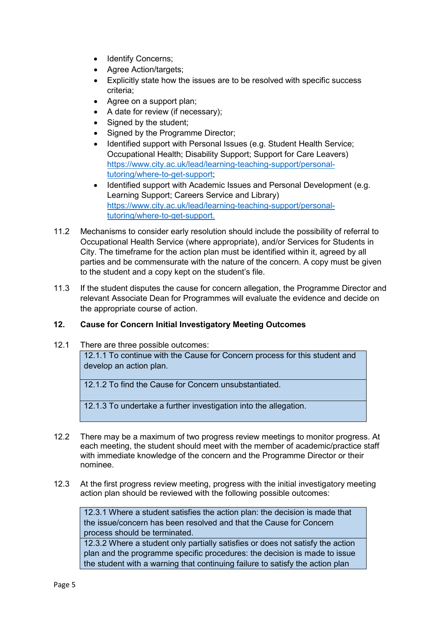- Identify Concerns;
- Agree Action/targets;
- Explicitly state how the issues are to be resolved with specific success criteria;
- Agree on a support plan;
- A date for review (if necessary);
- Signed by the student;
- Signed by the Programme Director;
- Identified support with Personal Issues (e.g. Student Health Service; Occupational Health; Disability Support; Support for Care Leavers) [https://www.city.ac.uk/lead/learning-teaching-support/personal](https://www.city.ac.uk/lead/learning-teaching-support/personal-tutoring/where-to-get-support)[tutoring/where-to-get-support;](https://www.city.ac.uk/lead/learning-teaching-support/personal-tutoring/where-to-get-support)
- Identified support with Academic Issues and Personal Development (e.g. Learning Support; Careers Service and Library) [https://www.city.ac.uk/lead/learning-teaching-support/personal](https://www.city.ac.uk/lead/learning-teaching-support/personal-tutoring/where-to-get-support)[tutoring/where-to-get-support.](https://www.city.ac.uk/lead/learning-teaching-support/personal-tutoring/where-to-get-support)
- 11.2 Mechanisms to consider early resolution should include the possibility of referral to Occupational Health Service (where appropriate), and/or Services for Students in City. The timeframe for the action plan must be identified within it, agreed by all parties and be commensurate with the nature of the concern. A copy must be given to the student and a copy kept on the student's file.
- 11.3 If the student disputes the cause for concern allegation, the Programme Director and relevant Associate Dean for Programmes will evaluate the evidence and decide on the appropriate course of action.

#### **12. Cause for Concern Initial Investigatory Meeting Outcomes**

12.1 There are three possible outcomes:

12.1.1 To continue with the Cause for Concern process for this student and develop an action plan.

12.1.2 To find the Cause for Concern unsubstantiated.

12.1.3 To undertake a further investigation into the allegation.

- 12.2 There may be a maximum of two progress review meetings to monitor progress. At each meeting, the student should meet with the member of academic/practice staff with immediate knowledge of the concern and the Programme Director or their nominee.
- 12.3 At the first progress review meeting, progress with the initial investigatory meeting action plan should be reviewed with the following possible outcomes:

12.3.1 Where a student satisfies the action plan: the decision is made that the issue/concern has been resolved and that the Cause for Concern process should be terminated.

12.3.2 Where a student only partially satisfies or does not satisfy the action plan and the programme specific procedures: the decision is made to issue the student with a warning that continuing failure to satisfy the action plan